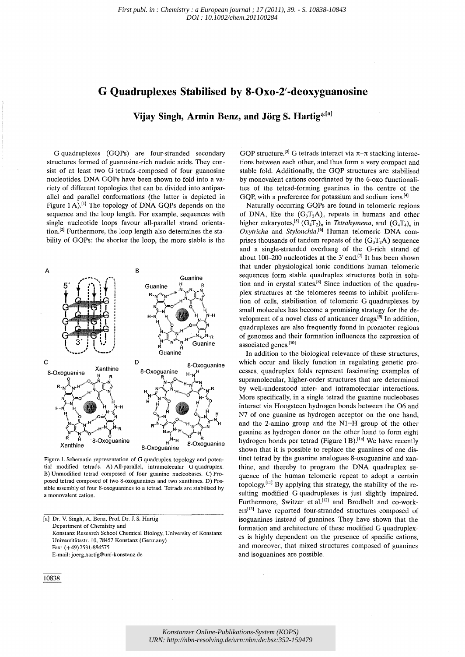## **G Quadruplexes Stabilised by 8-0xo-2' -deoxyguanosine**

**Vijay Singh, Armin Benz, and Jorg S. Hartig\*[a]** 

G quadruplexes (GQPs) are four-stranded secondary structures formed of guanosine-rich nucleic acids. They consist of at least two G tetrads composed of four guanosine nucleotides. DNA GQPs have been shown to fold into a variety of different topologies that can be divided into antiparallel and parallel conformations (the latter is depicted in Figure 1 A).<sup>[1]</sup> The topology of DNA GQPs depends on the sequence and the loop length. For example, sequences with single nucleotide loops favour all-parallel strand orientation.<sup>[2]</sup> Furthermore, the loop length also determines the stability of GQPs: the shorter the loop, the more stable is the



Figure 1. Schematic representation of G quadruplex topology and potential modified tetrads. A) All-parallel, intramolecular G quadruplex. B) Unmodified tetrad composed of four guanine nucleobases. C) Proposed tetrad composed of two 8-oxoguanines and two xanthines. D) Possible assembly of four 8-oxoguanines to a tetrad, Tetrads are stabilised by a monovalent cation.

[a) Dr. V. Singh, A. Benz, Prof. Dr. J. S. Hartig Department of Chemistry and Konstanz Research School Chemical Biology, University of Konstanz Universitatsstr. 10,78457 Konstanz (Germany) Fax: (+49)7531-884575 E-mail: joerg.hartig@uni-konstanz.de

10838

GOP structure.<sup>[3]</sup> G tetrads interact via  $\pi$ - $\pi$  stacking interactions between each other, and thus form a very compact and stable fold, Additionally, the GQP structures are stabilised by monovalent cations coordinated by the 6-oxo functionalities of the tetrad-forming guanines in the centre of the GQP, with a preference for potassium and sodium ions.<sup>[4]</sup>

Naturally occurring GQPs are found in telomeric regions of DNA, like the  $(G_3T_2A)_n$  repeats in humans and other higher eukaryotes,<sup>[5]</sup> (G<sub>4</sub>T<sub>2</sub>)<sub>n</sub> in *Tetrahymena*, and  $(G_4T_4)$ <sub>n</sub> in *Oxytricha* and *Stylonchia.<sup>[6]</sup>* Human telomeric DNA comprises thousands of tandem repeats of the  $(G_3T_2A)$  sequence and a single-stranded overhang of the G-rich strand of about 100-200 nucleotides at the 3' end.<sup>[7]</sup> It has been shown that under physiological ionic conditions human telomeric sequences form stable quadruplex structures both in solution and in crystal states.<sup>[8]</sup> Since induction of the quadruplex structures at the telomeres seems to inhibit proliferation of cells, stabilisation of telomeric G quadruplexes by small molecules has become a promising strategy for the development of a novel class of anticancer drugs.<sup>[9]</sup> In addition, quadruplexes are also frequently found in promoter regions of genomes and their formation influences the expression of associated genes.[10]

In addition to the biological relevance of these structures, which occur and likely function in regulating genetic processes, quadruplex folds represent fascinating examples of supramolecular, higher-order structures that are determined by well-understood inter- and intramolecular interactions. More specifically, in a single tetrad the guanine nucleobases interact via Hoogsteen hydrogen bonds between the 06 and N7 of one guanine as hydrogen acceptor on the one hand, and the 2-amino group and the NI-H group of the other guanine as hydrogen donor on the other hand to form eight hydrogen bonds per tetrad (Figure 1 B).<sup>[1a]</sup> We have recently shown that it is possible to replace the guanines of one distinct tetrad by the guanine analogues 8-oxoguanine and xanthine, and thereby to program the DNA quadruplex sequence of the human telomeric repeat to adopt a certain topology.<sup>[11]</sup> By applying this strategy, the stability of the resulting modified G quadruplexes is just slightly impaired. Furthermore, Switzer et al.<sup>[12]</sup> and Brodbelt and co-workers<sup>[13]</sup> have reported four-stranded structures composed of isoguanines instead of guanines, They have shown that the formation and architecture of these modified G quadruplexes is highly dependent on the presence of specific cations, and moreover, that mixed structures composed of guanines and isoguanines are possible,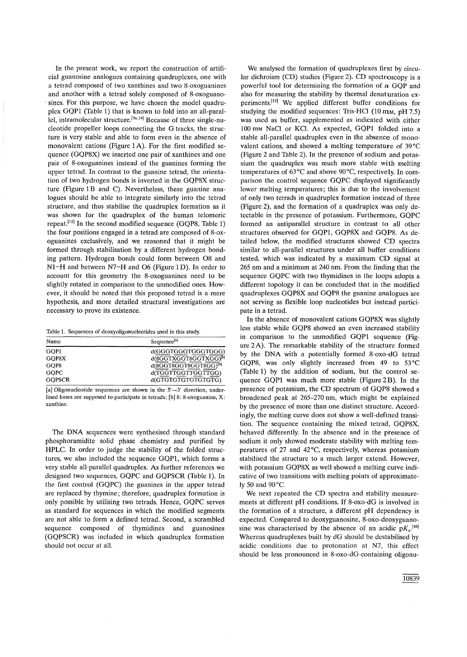In the present work, we report the construction of artificial guanosine analogues containing quadruplexes, one with a tetrad composed of two xanthines and two 8-oxoguanines and another with a tetrad solely composed of 8-oxoguano sines. For this purpose, we have chosen the model quadruplex GQP1 (Table 1) that is known to fold into an all-parallel, intramolecular structure.<sup>[3a,14]</sup> Because of three single-nucleotide propeller loops connecting the G tracks, the structure is very stable and able to form even in the absence of monovalent cations (Figure 1 A). For the first modified sequence (GQP8X) we inserted one pair of xanthines and one pair of 8-oxoguanines instead of the guanines forming the upper tetrad. In contrast to the guanine tetrad, the orientation of two hydrogen bonds is inverted in the GQP8X structure (Figure 1B and C). Nevertheless, these guanine analogues should be able to integrate similarly into the tetrad structure, and thus stabilise the quadruplex formation as it was shown for the quadruplex of the human telomeric repeat.<sup>[11]</sup> In the second modified sequence (GQP8, Table 1) the four positions engaged in a tetrad are composed of 8-oxoguanines exclusively, and we reasoned that it might be formed through stabilisation by a different hydrogen bonding pattern. Hydrogen bonds could form between 08 and N1-H and between N7-H and O6 (Figure 1D). In order to account for this geometry the 8-oxoguanines need to be slightly rotated in comparison to the unmodified ones. However, it should be noted that this proposed tetrad is a mere hypothesis, and more detailed structural investigations are necessary to prove its existence.

| Table 1. Sequences of deoxyoligonucleotides used in this study. |  |
|-----------------------------------------------------------------|--|
|-----------------------------------------------------------------|--|

| Name          | Sequence <sup>[a]</sup>           |
|---------------|-----------------------------------|
| GOP1          | d(GGGTGGGTGGGTGGG)                |
| GOP8X         | d(8GGTXGGT8GGTXGG) <sup>[b]</sup> |
| GOP8          | d(8GGT8GGT8GGT8GG)[b]             |
| <b>GOPC</b>   | d(TGGTTGGTTGGTTGG)                |
| <b>GOPSCR</b> | d(GTGTGTGTGTGTGTGTG)              |

[a] Oligonucleotide sequences are shown in the  $5' \rightarrow 3'$  direction, underlined bases are supposed to participate in tetrads; [b] 8: 8-oxoguanine, X: xanthine.

The DNA sequences were synthesised through standard phosphoramidite solid phase chemistry and purified by HPLC. In order to judge the stability of the folded structures, we also included the sequence GQPl, which forms a very stable all-parallel quadruplex. As further references we designed two sequences, GQPC and GQPSCR (Table 1). In the first control (GQPC) the guanines in the upper tetrad are replaced by thymine; therefore, quadruplex formation is only possible by utilising two tetrads. Hence, GQPC serves as standard for sequences in which the modified segments are not able to form a defined tetrad. Second, a scrambled sequence composed of thymidines and guanosines (GQPSCR) was included in which quadruplex formation should not occur at all.

We analysed the formation of quadruplexes first by circular dichroism (CD) studies (Figure 2). CD spectroscopy is a powerful tool for determining the formation of a GQP and also for measuring the stability by thermal denaturation experiments.<sup>[15]</sup> We applied different buffer conditions for studying the modified sequences: Tris-HCl  $(10 \text{ mm}, \text{pH} 7.5)$ was used as buffer, supplemented as indicated with either 100 mM NaCI or KC!. As expected, GQPl folded into a stable all-parallel quadruplex even in the absence of monovalent cations, and showed a melting temperature of 39°C (Figure 2 and Table 2). In the presence of sodium and potassium the quadruplex was much more stable with melting temperatures of 63°C and above 90°C, respectively. In comparison the control sequence GQPC displayed significantly lower melting temperatures; this is due to the involvement of only two tetrads in quadruplex formation instead of three (Figure 2), and the formation of a quadruplex was only detectable in the presence of potassium. Furthermore, GQPC formed an antiparallel structure in contrast to all other structures observed for GQP1, GQP8X and GQP8. As detailed below, the modified structures showed CD spectra similar to all-parallel structures under all buffer conditions tested, which was indicated by a maximum CD signal at 265 nm and a minimum at 240 nm. From the finding that the sequence GQPC with two thymidines in the loops adopts a different topology it can be concluded that in the modified quadruplexes GQP8X and GQP8 the guanine analogues are not serving as flexible loop nucleotides but instead participate in a tetrad.

In the absence of monovalent cations GQP8X was slightly less stable while GQP8 showed an even increased stability in comparison to the unmodified GQP1 sequence (Figure 2A). The remarkable stability of the structure formed by the DNA with a potentially formed 8-oxo-dG tetrad GQP8, was only slightly increased from 49 to 53°C (Table 1) by the addition of sodium, but the control sequence GQP1 was much more stable (Figure 2B). In the presence of potassium, the CD spectrum of GQP8 showed a broadened peak at 265-270 nm, which might be explained by the presence of more than one distinct structure. Accordingly, the melting curve does not show a well-defined transition. The sequence containing the mixed tetrad, GQP8X, behaved differently. In the absence and in the presence of sodium it only showed moderate stability with melting temperatures of 27 and 42°C, respectively, whereas potassium stabilised the structure to a much larger extend. However, with potassium GQP8X as well showed a melting curve indicative of two transitions with melting points of approximately 50 and 90°C.

We next repeated the CD spectra and stability measurements at different pH conditions. If 8-oxo-dG is involved in the formation of a structure, a different pH dependency is expected. Compared to deoxyguanosine, 8-oxo-deoxyguanosine was characterised by the absence of an acidic  $pK<sub>a</sub>$ .<sup>[16]</sup> Whereas quadruplexes built by dG should be destabilised by acidic conditions due to protonation at N7, this effect should be less pronounced in 8-oxo-dG-containing oligonu-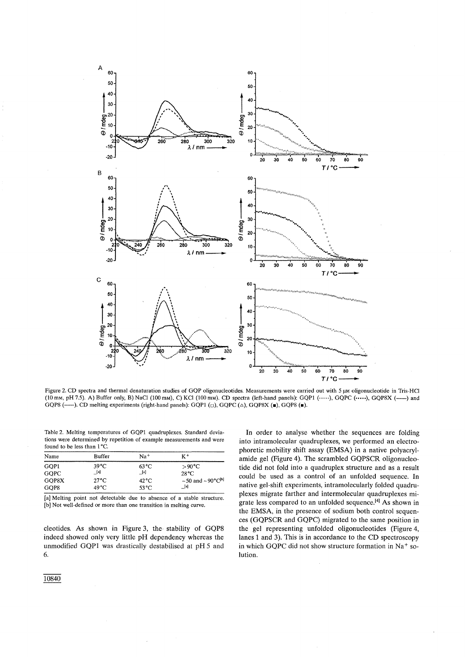

Figure 2. CD spectra and thermal denaturation studies of GQP oligonucleotides. Measurements were carried out with 5  $\mu$ M oligonucleotide in Tris-HCl (10 mm, pH 7.5). A) Buffer only, B) NaCl (100 mm), C) KCl (100 mm). CD spectra (left-hand panels): GQP1 (-----), GQPC ( $...,$ ), GQP8X (----) and GQP8 (--). CD melting experiments (right-hand panels): GQP1 ( $\Box$ ), GQPC ( $\triangle$ ), GQP8X ( $\blacksquare$ ), GQP8 ( $\blacksquare$ ).

Table 2. Melting temperatures of GQPl quadruplexes. Standard deviations were determined by repetition of example measurements and were found to be less than 1°C.

| Name        | Buffer          | Na <sup>+</sup> | K+                                                  |
|-------------|-----------------|-----------------|-----------------------------------------------------|
| GOP1        | 39°C            | 63 °C.          | $>90^{\circ}$ C                                     |
| <b>GOPC</b> | [a]             | [a]             | 28°C                                                |
| GOP8X       | $27^{\circ}$ C. | 42 °C           | $\sim$ 50 and $\sim$ 90 $^{\circ}$ C <sup>[b]</sup> |
| GOP8        | 49 °C           | 53 °C.          | _[a]                                                |

[a] Melting point not detectable due to absence of a stable structure. [b] Not well-defined or more than one transition in melting curve.

cleotides. As shown in Figure 3, the, stability of GQP8 indeed showed only very little pH dependency whereas the unmodified GQPl was drastically destabilised at pH 5 and 6.

In order to analyse whether the sequences are folding into intramolecular quadruplexes, we performed an electrophoretic mobility shift assay (EMSA) in a native polyacrylamide gel (Figure 4). The scrambled GQPSCR oligonucleotide did not fold into a quadruplex structure and as a result could be used as a control of an unfolded sequence. In native gel-shift experiments, intramolecularly folded quadruplexes migrate farther and intermolecular quadruplexes migrate less compared to an unfolded sequence.<sup>[4]</sup> As shown in the EMSA, in the presence of sodium both control sequences (GQPSCR and GQPC) migrated to the same position in the gel representing unfolded oligonucleotides (Figure 4, lanes 1 and 3). This is in accordance to the CD spectroscopy in which GQPC did not show structure formation in Na<sup>+</sup> solution.

10840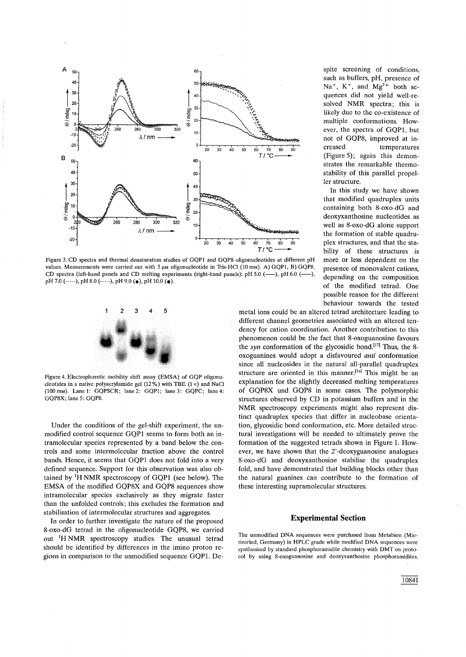

Figure 3. CD spectra and thermal denaturation studies of GQP1 and GQP8 oligonucleotides at different pH values. Measurements were carried out with 5  $\mu$ M oligonucleotide in Tris-HCl (10 mM). A) GQP1, B) GQP8. CD spectra (left-hand panels and CD melting experiments (right-hand panels): pH 5.0 (---), pH 6.0 (pH 7.0 (-----), pH 8.0 (-----), pH 9.0 ( $\bullet$ ), pH 10.0 ( $\bullet$ ).



Figure 4. Electrophoretic mobility shift assay (EMSA) of GQP oligonucleotides in a native polyacrylamide gel (12%) with TBE (1 $\times$ ) and NaCl (100 mM). Lane 1: GQPSCR; lane 2: GQP1; lane 3: GQPC; lane 4: GQP8X; lane 5: GQP8.

Under the conditions of the gel-shift experiment, the unmodified control sequence GQPl seems to form both an intramolecular species represented by a band below the controls and some intermolecular fraction above the control bands. Hence, it seems that GQPl does not fold into a very defined sequence. Support for this observation was also obtained by  ${}^{1}H$  NMR spectroscopy of GOP1 (see below). The EMSA of the modified GOP8X and GOP8 sequences show intramolecular species exclusively as they migrate faster than the unfolded controls; this excludes the formation and stabilisation of intermolecular structures and aggregates.

In order to further investigate the nature of the proposed 8-oxo-dG tetrad in the oligonucleotide GQP8, we carried out IH NMR spectroscopy studies. The unusual tetrad should be identified by differences in the imino proton regions in comparison to the unmodified sequence GQPl. De-

spite screening of conditions, such as buffers, pH, presence of Na<sup>+</sup>, K<sup>+</sup>, and Mg<sup>2+</sup> both sequences did not yield well-resolved NMR spectra; this is likely due to the co-existence of multiple conformations. However, the spectra of GQPl, but not of GQP8, improved at increased temperatures (Figure 5); again this demonstrates the remarkable thermostability of this parallel propeller structure.

In this study we have shown that modified quadruplex units containing both 8-oxo-dG and deoxyxanthosine nucleotides as well as 8-oxo-dG alone support the formation of stable quadruplex structures, and that the stability of these structures is more or less dependent on the presence of monovalent cations, depending on the composition of the modified tetrad. One possible reason for the different behaviour towards the tested

metal ions could be an altered tetrad architecture leading to different channel geometries associated with an altered tendency for cation coordination. Another contribution to this phenomenon could be the fact that 8-oxoguanosine favours the *syn* conformation of the glycosidic bond.<sup>[17]</sup> Thus, the 8oxoguanines would adopt a disfavoured *anti* conformation since all nucleosides in the natural all-parallel quadruplex structure are oriented in this manner.<sup>[1a]</sup> This might be an explanation for the slightly decreased melting temperatures of GQP8X und GQP8 in some cases. The polymorphic structures observed by CD in potassium buffers and in the NMR spectroscopy experiments might also represent distinct quadruplex species that differ in nucleobase orientation, glycosidic bond conformation, etc. More detailed structural investigations will be needed to ultimately prove the formation of the suggested tetrads shown in Figure 1. However, we have shown that the 2'-deoxyguanosine analogues 8-oxo-dG and deoxyxanthosine stabilise the quadruplex fold, and have demonstrated that building blocks other than the natural guanines can contribute to the formation of these interesting supramolecular structures.

## **Experimental Section**

The unmodified DNA sequences were purchased from Metabion (Martinsried, Germany) in HPLC grade while modified DNA sequences were synthesised by standard phosphoramidite chemistry with DMT On protocol by using 8-oxoguanosine and deoxyxanthosine phosphoramidites,

10841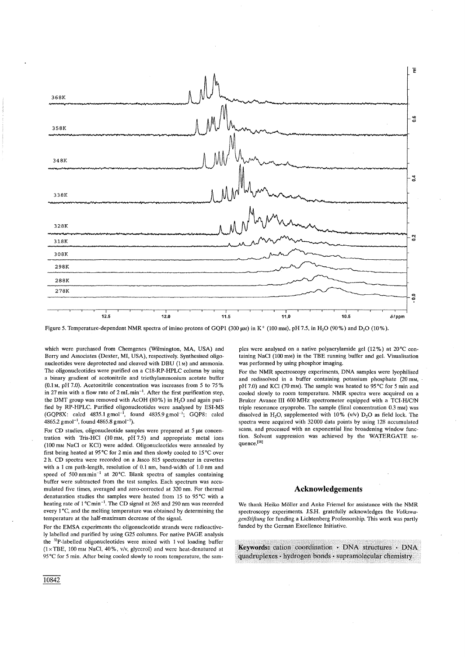

Figure 5. Temperature-dependent NMR spectra of imino protons of GQP1 (300  $\mu$ M) in K<sup>+</sup> (100 mM), pH 7.5, in H<sub>2</sub>O (90%) and D<sub>2</sub>O (10%).

which were purchased from Chemgenes (Wilmington, MA, USA) and Berry and Associates (Dexter, MI, USA), respectively. Synthesised oligonucleotides were deprotected and cleaved with DBU (1 M) and ammonia. The oligonucleotides were purified on a CI8-RP-HPLC column by using a binary gradient of acetonitrile and triethylammonium acetate buffer (0.1 M, pH 7.0). Acetonitrile concentration was increases from 5 to 75 % in 27 min with a flow rate of  $2 \text{ mLmin}^{-1}$ . After the first purification step, the DMT group was removed with AcOH (80%) in  $H<sub>2</sub>O$  and again purified by RP-HPLC. Purified oligonucleotides were analysed by ESI-MS  $(GQPSX: \text{ calcd } 4835.1 \text{ g} \text{ mol}^{-1}, \text{ found } 4835.9 \text{ g} \text{ mol}^{-1}, \text{ GQPS: } \text{ calcd }$  $4865.2$  gmol<sup>-1</sup>, found  $4865.8$  gmol<sup>-1</sup>).

For CD studies, oligonucleotide samples were prepared at  $5 \mu$ M concentration with Tris-HCI (10 mM, pH 7.5) and appropriate metal ions (100 mM NaC! or KC!) were added. Oligonucleotides were annealed by first being heated at 95°C for 2 min and then slowly cooled to 15°C over 2 h. CD spectra were recorded on a lasco 815 spectrometer in cuvettes with a 1 cm path-length, resolution of 0.1 nm, band-width of 1.0 nm and speed of 500 nm min-' at 20°C. Blank spectra of samples containing buffer were subtracted from the test samples. Each spectrum was accumulated five times, averaged and zero-corrected at 320 nm. For thermal denaturation studies the samples were heated from 15 to 95°C with a heating rate of 1°Cmin<sup>-1</sup>. The CD signal at 265 and 290 nm was recorded every 1°C. and the melting temperature was obtained by determining the temperature at the half-maximum decrease of the signal.

For the EMSA experiments the oligonucleotide strands were radioactively labelled and purified by using G25 columns. For native PAGE analysis the 32P-Iabelled oligonucleotides were mixed with 1 vol loading buffer (1 xTBE, 100 mM NaC!, 40%, v/v, glycerol) and were heat-denatured at 95°C for 5 min. After being cooled slowly to room temperature, the samples were analysed on a native polyacrylamide gel  $(12\%)$  at  $20^{\circ}$ C containing NaCI (100 mM) in the TBE running buffer and gel. Visualisation was performed by using phosphor imaging.

For the NMR spectroscopy experiments, DNA samples were lyophilised and redissolved in a buffer containing potassium phosphate (20 mM, pH 7.0) and KC! (70 mM). The sample was heated to 95°C for 5 min and cooled slowly to room temperature. NMR spectra were acquired on a Bruker Avance III 600 MHz spectrometer equipped with a TCI-H/c/N triple resonance cryoprobe. The sample (final concentration 0.3 mM) was dissolved in H<sub>2</sub>O, supplemented with  $10\%$  (v/v) D<sub>2</sub>O as field lock. The spectra were acquired with 32000 data points by using 128 accumulated scans, and processed with an exponential line broadening window function. Solvent suppression was achieved by the WATERGATE sequence.[18]

## **Acknowledgements**

We thank Heiko Möller and Anke Friemel for assistance with the NMR spectroscopy experiments. l.S.H. gratefully acknowledges the *VolkswagenStiftung* for funding a Lichtenberg Professorship. This work was partly funded by the German Excellence Initiative.

Keywords: cation coordination · DNA structures · DNA quadruplexes · hydrogen bonds · supramolecular chemistry